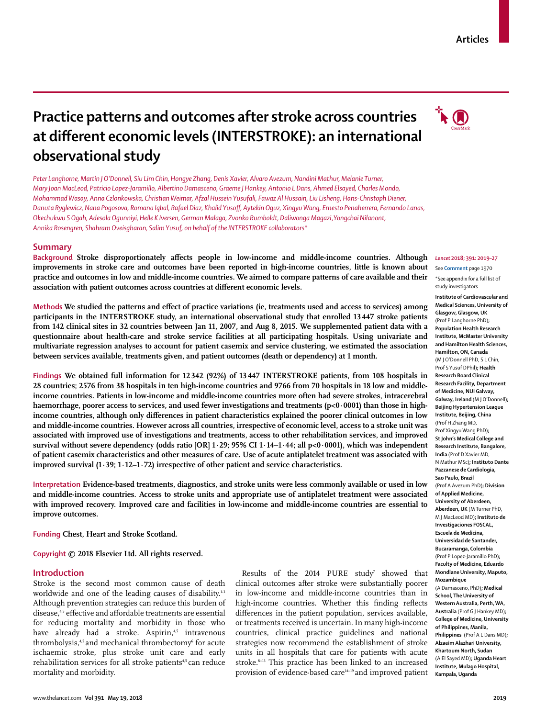# **Practice patterns and outcomes after stroke across countries at different economic levels (INTERSTROKE): an international observational study**

*Peter Langhorne, Martin J O'Donnell, Siu Lim Chin, Hongye Zhang, Denis Xavier, Alvaro Avezum, Nandini Mathur, Melanie Turner, Mary Joan MacLeod, Patricio Lopez-Jaramillo, Albertino Damasceno, Graeme J Hankey, Antonio L Dans, Ahmed Elsayed, Charles Mondo, Mohammad Wasay, Anna Czlonkowska, Christian Weimar, Afzal Hussein Yusufali, Fawaz Al Hussain, Liu Lisheng, Hans-Christoph Diener, Danuta Ryglewicz, Nana Pogosova, Romana Iqbal, Rafael Diaz, Khalid Yusoff, Aytekin Oguz, Xingyu Wang, Ernesto Penaherrera, Fernando Lanas, Okechukwu S Ogah, Adesola Ogunniyi, Helle K Iversen, German Malaga, Zvonko Rumboldt, Daliwonga Magazi,Yongchai Nilanont, Annika Rosengren, Shahram Oveisgharan, Salim Yusuf, on behalf of the INTERSTROKE collaborators\**

### **Summary**

**Background Stroke disproportionately affects people in low-income and middle-income countries. Although improvements in stroke care and outcomes have been reported in high-income countries, little is known about practice and outcomes in low and middle-income countries. We aimed to compare patterns of care available and their association with patient outcomes across countries at different economic levels.** 

**Methods We studied the patterns and effect of practice variations (ie, treatments used and access to services) among participants in the INTERSTROKE study, an international observational study that enrolled 13447 stroke patients from 142 clinical sites in 32 countries between Jan 11, 2007, and Aug 8, 2015. We supplemented patient data with a questionnaire about health-care and stroke service facilities at all participating hospitals. Using univariate and multivariate regression analyses to account for patient casemix and service clustering, we estimated the association between services available, treatments given, and patient outcomes (death or dependency) at 1 month.**

**Findings We obtained full information for 12342 (92%) of 13447 INTERSTROKE patients, from 108 hospitals in 28 countries; 2576 from 38 hospitals in ten high-income countries and 9766 from 70 hospitals in 18 low and middleincome countries. Patients in low-income and middle-income countries more often had severe strokes, intracerebral haemorrhage, poorer access to services, and used fewer investigations and treatments (p<0·0001) than those in highincome countries, although only differences in patient characteristics explained the poorer clinical outcomes in low and middle-income countries. However across all countries, irrespective of economic level, access to a stroke unit was associated with improved use of investigations and treatments, access to other rehabilitation services, and improved survival without severe dependency (odds ratio [OR] 1·29; 95% CI 1·14–1·44; all p<0·0001), which was independent of patient casemix characteristics and other measures of care. Use of acute antiplatelet treatment was associated with improved survival (1·39; 1·12–1·72) irrespective of other patient and service characteristics.**

**Interpretation Evidence-based treatments, diagnostics, and stroke units were less commonly available or used in low and middle-income countries. Access to stroke units and appropriate use of antiplatelet treatment were associated with improved recovery. Improved care and facilities in low-income and middle-income countries are essential to improve outcomes.**

**Funding Chest, Heart and Stroke Scotland.**

**Copyright © 2018 Elsevier Ltd. All rights reserved.**

#### **Introduction**

Stroke is the second most common cause of death worldwide and one of the leading causes of disability.<sup>1-3</sup> Although prevention strategies can reduce this burden of disease,4,5 effective and affordable treatments are essential for reducing mortality and morbidity in those who have already had a stroke. Aspirin,<sup>4,5</sup> intravenous thrombolysis,<sup>45</sup> and mechanical thrombectomy<sup>6</sup> for acute ischaemic stroke, plus stroke unit care and early rehabilitation services for all stroke patients<sup>4,5</sup> can reduce mortality and morbidity.

Results of the 2014 PURE study<sup>7</sup> showed that clinical outcomes after stroke were substantially poorer in low-income and middle-income countries than in high-income countries. Whether this finding reflects differences in the patient population, services available, or treatments received is uncertain. In many high-income countries, clinical practice guidelines and national strategies now recommend the establishment of stroke units in all hospitals that care for patients with acute stroke.<sup>8-13</sup> This practice has been linked to an increased provision of evidence-based care<sup>14-19</sup> and improved patient

# *Lancet* **2018; 391: 2019–27**

See **Comment** page 1970

\*See appendix for a full list of study investigators

**Institute of Cardiovascular and Medical Sciences, University of Glasgow, Glasgow, UK** (Prof P Langhorne PhD)**; Population Health Research Institute, McMaster University and Hamilton Health Sciences, Hamilton, ON, Canada**  (M J O'Donnell PhD, S L Chin, Prof S Yusuf DPhil)**; Health Research Board Clinical Research Facility, Department of Medicine, NUI Galway, Galway, Ireland** (M J O'Donnell)**; Beijing Hypertension League Institute, Beijing, China** (Prof H Zhang MD, Prof Xingyu Wang PhD)**; St John's Medical College and Research Institute, Bangalore, India** (Prof D Xavier MD, N Mathur MSc)**; Instituto Dante Pazzanese de Cardiologia, Sao Paulo, Brazil**  (Prof A Avezum PhD)**; Division of Applied Medicine, University of Aberdeen, Aberdeen, UK** (M Turner PhD, M J MacLeod MD)**; Instituto de Investigaciones FOSCAL, Escuela de Medicina, Universidad de Santander, Bucaramanga, Colombia** (Prof P Lopez-Jaramillo PhD)**; Faculty of Medicine, Eduardo Mondlane University, Maputo, Mozambique**  (A Damasceno, PhD)**; Medical School, The University of Western Australia, Perth, WA, Australia** (Prof G J Hankey MD)**; College of Medicine, University of Philippines, Manila, Philippines** (Prof A L Dans MD)**; Alzaeim Alazhari University, Khartoum North, Sudan**  (A El Sayed MD)**; Uganda Heart Institute, Mulago Hospital, Kampala, Uganda**

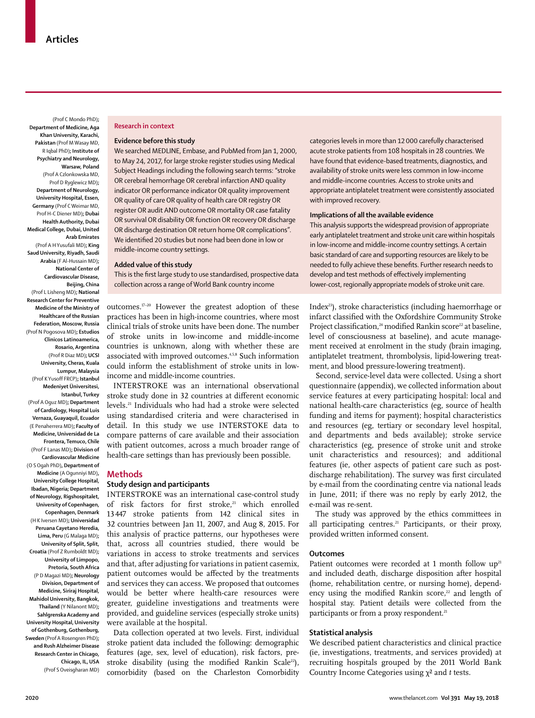(Prof C Mondo PhD)**; Department of Medicine, Aga Khan University, Karachi, Pakistan** (Prof M Wasay MD, R Iqbal PhD)**; Institute of Psychiatry and Neurology, Warsaw, Poland**  (Prof A Czlonkowska MD, Prof D Ryglewicz MD)**; Department of Neurology, University Hospital, Essen, Germany** (Prof C Weimar MD, Prof H-C Diener MD)**; Dubai Health Authority, Dubai Medical College, Dubai, United Arab Emirates**  (Prof A H Yusufali MD)**; King Saud University, Riyadh, Saudi Arabia** (F Al-Hussain MD)**; National Center of Cardiovascular Disease, Beijing, China**  (Prof L Lisheng MD)**; National Research Center for Preventive Medicine of the Ministry of Healthcare of the Russian Federation, Moscow, Russia** (Prof N Pogosova MD)**; Estudios Clinicos Latinoamerica, Rosario, Argentina**  (Prof R Diaz MD)**; UCSI University, Cheras, Kuala Lumpur, Malaysia** (Prof K Yusoff FRCP)**; Istanbul Medeniyet Üniversitesi, Istanbul, Turkey**  (Prof A Oguz MD)**; Department of Cardiology, Hospital Luis Vernaza, Guayaquil, Ecuador** (E Penaherrera MD)**; Faculty of Medicine, Universidad de La Frontera, Temuco, Chile**  (Prof F Lanas MD)**; Division of Cardiovascular Medicine**  (O S Ogah PhD)**, Department of Medicine** (A Ogunniyi MD)**, University College Hospital, Ibadan, Nigeria; Department of Neurology, Rigshospitalet, University of Copenhagen, Copenhagen, Denmark**  (H K Iversen MD)**; Universidad Peruana Cayetano Heredia, Lima, Peru** (G Malaga MD)**; University of Split, Split, Croatia** (Prof Z Rumboldt MD)**; University of Limpopo, Pretoria, South Africa** (P D Magazi MD)**; Neurology Division, Department of Medicine, Siriraj Hospital, Mahidol University, Bangkok, Thailand** (Y Nilanont MD)**; Sahlgrenska Academy and University Hospital, University of Gothenburg, Gothenburg, Sweden** (Prof A Rosengren PhD)**; and Rush Alzheimer Disease** 

#### **Research in context**

#### **Evidence before this study**

We searched MEDLINE, Embase, and PubMed from Jan 1, 2000, to May 24, 2017, for large stroke register studies using Medical Subject Headings including the following search terms: "stroke OR cerebral hemorrhage OR cerebral infarction AND quality indicator OR performance indicator OR quality improvement OR quality of care OR quality of health care OR registry OR register OR audit AND outcome OR mortality OR case fatality OR survival OR disability OR function OR recovery OR discharge OR discharge destination OR return home OR complications". We identified 20 studies but none had been done in low or middle-income country settings.

#### **Added value of this study**

This is the first large study to use standardised, prospective data collection across a range of World Bank country income

outcomes.17–20 However the greatest adoption of these practices has been in high-income countries, where most clinical trials of stroke units have been done. The number of stroke units in low-income and middle-income countries is unknown, along with whether these are associated with improved outcomes.<sup>4,5,8</sup> Such information could inform the establishment of stroke units in lowincome and middle-income countries.

INTERSTROKE was an international observational stroke study done in 32 countries at different economic levels.21 Individuals who had had a stroke were selected using standardised criteria and were characterised in detail. In this study we use INTERSTOKE data to compare patterns of care available and their association with patient outcomes, across a much broader range of health-care settings than has previously been possible.

#### **Methods Study design and participants**

INTERSTROKE was an international case-control study of risk factors for first stroke,<sup>21</sup> which enrolled 13 447 stroke patients from 142 clinical sites in 32 countries between Jan 11, 2007, and Aug 8, 2015. For this analysis of practice patterns, our hypotheses were that, across all countries studied, there would be variations in access to stroke treatments and services and that, after adjusting for variations in patient casemix, patient outcomes would be affected by the treatments and services they can access. We proposed that outcomes would be better where health-care resources were greater, guideline investigations and treatments were provided, and guideline services (especially stroke units) were available at the hospital.

Data collection operated at two levels. First, individual stroke patient data included the following: demographic features (age, sex, level of education), risk factors, prestroke disability (using the modified Rankin Scale<sup>22</sup>), comorbidity (based on the Charleston Comorbidity categories levels in more than 12000 carefully characterised acute stroke patients from 108 hospitals in 28 countries. We have found that evidence-based treatments, diagnostics, and availability of stroke units were less common in low-income and middle-income countries. Access to stroke units and appropriate antiplatelet treatment were consistently associated with improved recovery.

#### **Implications of all the available evidence**

This analysis supports the widespread provision of appropriate early antiplatelet treatment and stroke unit care within hospitals in low-income and middle-income country settings. A certain basic standard of care and supporting resources are likely to be needed to fully achieve these benefits. Further research needs to develop and test methods of effectively implementing lower-cost, regionally appropriate models of stroke unit care.

Index<sup>23</sup>), stroke characteristics (including haemorrhage or infarct classified with the Oxfordshire Community Stroke Project classification,<sup>24</sup> modified Rankin score<sup>22</sup> at baseline, level of consciousness at baseline), and acute management received at enrolment in the study (brain imaging, antiplatelet treatment, thrombolysis, lipid-lowering treatment, and blood pressure-lowering treatment).

Second, service-level data were collected. Using a short questionnaire (appendix), we collected information about service features at every participating hospital: local and national health-care characteristics (eg, source of health funding and items for payment); hospital characteristics and resources (eg, tertiary or secondary level hospital, and departments and beds available); stroke service characteristics (eg, presence of stroke unit and stroke unit characteristics and resources); and additional features (ie, other aspects of patient care such as postdischarge rehabilitation). The survey was first circulated by e-mail from the coordinating centre via national leads in June, 2011; if there was no reply by early 2012, the e-mail was re-sent.

The study was approved by the ethics committees in all participating centres.<sup>21</sup> Participants, or their proxy, provided written informed consent.

#### **Outcomes**

Patient outcomes were recorded at 1 month follow  $up<sup>21</sup>$ and included death, discharge disposition after hospital (home, rehabilitation centre, or nursing home), dependency using the modified Rankin score, $2$  and length of hospital stay. Patient details were collected from the participants or from a proxy respondent.<sup>21</sup>

# **Statistical analysis**

We described patient characteristics and clinical practice (ie, investigations, treatments, and services provided) at recruiting hospitals grouped by the 2011 World Bank Country Income Categories using χ² and *t* tests.

**Research Center in Chicago, Chicago, IL, USA** (Prof S Oveisgharan MD)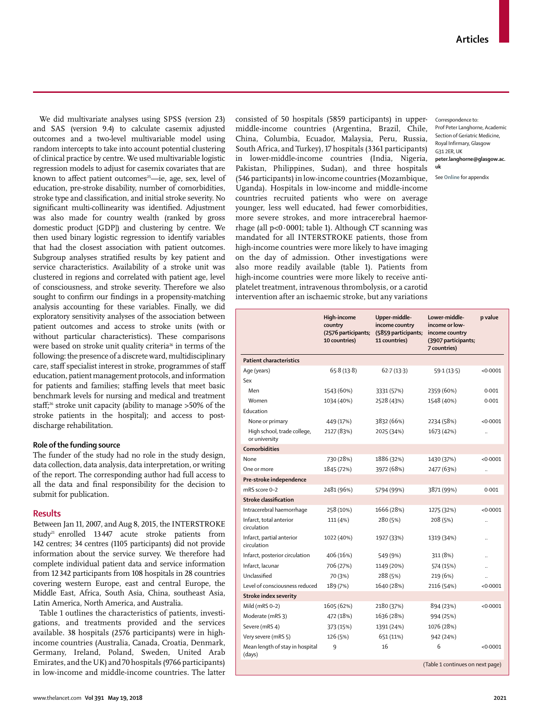We did multivariate analyses using SPSS (version 23) and SAS (version 9.4) to calculate casemix adjusted outcomes and a two-level multivariable model using random intercepts to take into account potential clustering of clinical practice by centre. We used multivariable logistic regression models to adjust for casemix covariates that are known to affect patient outcomes<sup>25</sup>—ie, age, sex, level of education, pre-stroke disability, number of comorbidities, stroke type and classification, and initial stroke severity. No significant multi-collinearity was identified. Adjustment was also made for country wealth (ranked by gross domestic product [GDP]) and clustering by centre. We then used binary logistic regression to identify variables that had the closest association with patient outcomes. Subgroup analyses stratified results by key patient and service characteristics. Availability of a stroke unit was clustered in regions and correlated with patient age, level of consciousness, and stroke severity. Therefore we also sought to confirm our findings in a propensity-matching analysis accounting for these variables. Finally, we did exploratory sensitivity analyses of the association between patient outcomes and access to stroke units (with or without particular characteristics). These comparisons were based on stroke unit quality criteria<sup>26</sup> in terms of the following: the presence of a discrete ward, multidisciplinary care, staff specialist interest in stroke, programmes of staff education, patient management protocols, and information for patients and families; staffing levels that meet basic benchmark levels for nursing and medical and treatment staff;<sup>26</sup> stroke unit capacity (ability to manage >50% of the stroke patients in the hospital); and access to postdischarge rehabilitation.

#### **Role of the funding source**

The funder of the study had no role in the study design, data collection, data analysis, data interpretation, or writing of the report. The corresponding author had full access to all the data and final responsibility for the decision to submit for publication.

#### **Results**

Between Jan 11, 2007, and Aug 8, 2015, the INTERSTROKE study<sup>21</sup> enrolled 13447 acute stroke patients from 142 centres; 34 centres (1105 participants) did not provide information about the service survey. We therefore had complete individual patient data and service information from 12342 participants from 108 hospitals in 28 countries covering western Europe, east and central Europe, the Middle East, Africa, South Asia, China, southeast Asia, Latin America, North America, and Australia.

Table 1 outlines the characteristics of patients, investigations, and treatments provided and the services available. 38 hospitals (2576 participants) were in highincome countries (Australia, Canada, Croatia, Denmark, Germany, Ireland, Poland, Sweden, United Arab Emirates, and the UK) and 70 hospitals (9766 participants) in low-income and middle-income countries. The latter consisted of 50 hospitals (5859 participants) in uppermiddle-income countries (Argentina, Brazil, Chile, China, Columbia, Ecuador, Malaysia, Peru, Russia, South Africa, and Turkey), 17 hospitals (3361 participants) in lower-middle-income countries (India, Nigeria, Pakistan, Philippines, Sudan), and three hospitals (546 participants) in low-income countries (Mozambique, Uganda). Hospitals in low-income and middle-income countries recruited patients who were on average younger, less well educated, had fewer comorbidities, more severe strokes, and more intracerebral haemorrhage (all p<0·0001; table 1). Although CT scanning was mandated for all INTERSTROKE patients, those from high-income countries were more likely to have imaging on the day of admission. Other investigations were also more readily available (table 1). Patients from high-income countries were more likely to receive antiplatelet treatment, intravenous thrombolysis, or a carotid intervention after an ischaemic stroke, but any variations

| пk                             |
|--------------------------------|
| peter.langhorne@glasgow.ac.    |
| G31 2ER, UK                    |
| Royal Infirmary, Glasgow       |
| Section of Geriatric Medicine, |
| Prof Peter Langhorne, Academic |
| Correspondence to:             |

See **Online** for appendix

|                                              | High-income<br>country<br>(2576 participants;<br>10 countries) | Upper-middle-<br>income country<br>(5859 participants;<br>11 countries) | Lower-middle-<br>income or low-<br>income country<br>(3907 participants;<br>7 countries) | p value              |
|----------------------------------------------|----------------------------------------------------------------|-------------------------------------------------------------------------|------------------------------------------------------------------------------------------|----------------------|
| <b>Patient characteristics</b>               |                                                                |                                                                         |                                                                                          |                      |
| Age (years)                                  | 65.8(13.8)                                                     | 62.7(13.3)                                                              | 59.1(13.5)                                                                               | < 0.0001             |
| Sex                                          |                                                                |                                                                         |                                                                                          |                      |
| Men                                          | 1543 (60%)                                                     | 3331 (57%)                                                              | 2359 (60%)                                                                               | 0.001                |
| Women                                        | 1034 (40%)                                                     | 2528 (43%)                                                              | 1548 (40%)                                                                               | 0.001                |
| Education                                    |                                                                |                                                                         |                                                                                          |                      |
| None or primary                              | 449 (17%)                                                      | 3832 (66%)                                                              | 2234 (58%)                                                                               | <0.0001              |
| High school, trade college,<br>or university | 2127 (83%)                                                     | 2025 (34%)                                                              | 1673 (42%)                                                                               | $\ddot{\phantom{a}}$ |
| <b>Comorbidities</b>                         |                                                                |                                                                         |                                                                                          |                      |
| None                                         | 730 (28%)                                                      | 1886 (32%)                                                              | 1430 (37%)                                                                               | < 0.0001             |
| One or more                                  | 1845 (72%)                                                     | 3972 (68%)                                                              | 2477 (63%)                                                                               | $\ddot{\phantom{a}}$ |
| Pre-stroke independence                      |                                                                |                                                                         |                                                                                          |                      |
| mRS score 0-2                                | 2481 (96%)                                                     | 5794 (99%)                                                              | 3871 (99%)                                                                               | 0.001                |
| Stroke classification                        |                                                                |                                                                         |                                                                                          |                      |
| Intracerebral haemorrhage                    | 258 (10%)                                                      | 1666 (28%)                                                              | 1275 (32%)                                                                               | < 0.0001             |
| Infarct, total anterior<br>circulation       | 111 (4%)                                                       | 280 (5%)                                                                | 208 (5%)                                                                                 | $\ddot{\phantom{a}}$ |
| Infarct, partial anterior<br>circulation     | 1022 (40%)                                                     | 1927 (33%)                                                              | 1319 (34%)                                                                               | $\ddot{\phantom{a}}$ |
| Infarct, posterior circulation               | 406 (16%)                                                      | 549 (9%)                                                                | 311 (8%)                                                                                 |                      |
| Infarct, lacunar                             | 706 (27%)                                                      | 1149 (20%)                                                              | 574 (15%)                                                                                | $\ddot{\phantom{a}}$ |
| Unclassified                                 | 70 (3%)                                                        | 288 (5%)                                                                | 219 (6%)                                                                                 |                      |
| Level of consciousness reduced               | 189 (7%)                                                       | 1640 (28%)                                                              | 2116 (54%)                                                                               | < 0.0001             |
| <b>Stroke index severity</b>                 |                                                                |                                                                         |                                                                                          |                      |
| Mild (mRS 0-2)                               | 1605 (62%)                                                     | 2180 (37%)                                                              | 894 (23%)                                                                                | < 0.0001             |
| Moderate (mRS 3)                             | 472 (18%)                                                      | 1636 (28%)                                                              | 994 (25%)                                                                                |                      |
| Severe (mRS 4)                               | 373 (15%)                                                      | 1391 (24%)                                                              | 1076 (28%)                                                                               |                      |
| Very severe (mRS 5)                          | 126 (5%)                                                       | 651 (11%)                                                               | 942 (24%)                                                                                |                      |
| Mean length of stay in hospital<br>(days)    | 9                                                              | 16                                                                      | 6                                                                                        | < 0.0001             |
|                                              |                                                                |                                                                         | (Table 1 continues on next page)                                                         |                      |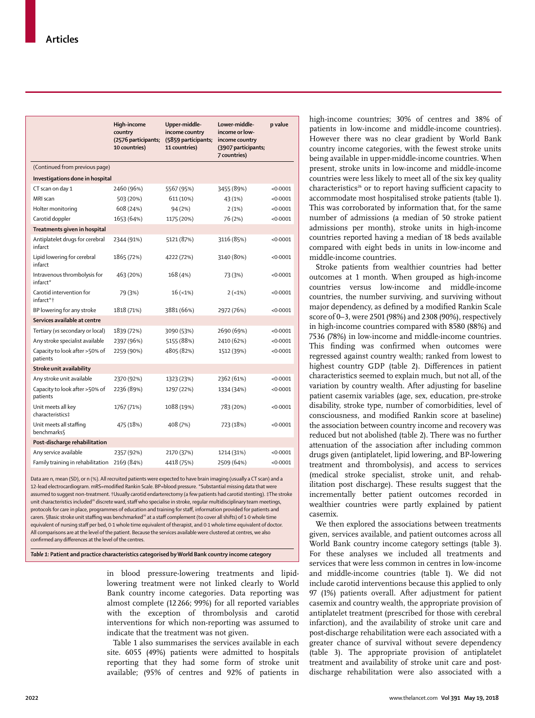|                                            | High-income<br>country<br>(2576 participants;<br>10 countries) | Upper-middle-<br>income country<br>(5859 participants;<br>11 countries) | Lower-middle-<br>income or low-<br>income country<br>(3907 participants;<br>7 countries) | p value  |  |  |
|--------------------------------------------|----------------------------------------------------------------|-------------------------------------------------------------------------|------------------------------------------------------------------------------------------|----------|--|--|
| (Continued from previous page)             |                                                                |                                                                         |                                                                                          |          |  |  |
| Investigations done in hospital            |                                                                |                                                                         |                                                                                          |          |  |  |
| CT scan on day 1                           | 2460 (96%)                                                     | 5567 (95%)                                                              | 3455 (89%)                                                                               | < 0.0001 |  |  |
| MRI scan                                   | 503 (20%)                                                      | 611 (10%)                                                               | 43 (1%)                                                                                  | < 0.0001 |  |  |
| Holter monitoring                          | 608 (24%)                                                      | 94 (2%)                                                                 | 2(1%)                                                                                    | <0.0001  |  |  |
| Carotid doppler                            | 1653 (64%)                                                     | 1175 (20%)                                                              | 76 (2%)                                                                                  | < 0.0001 |  |  |
| Treatments given in hospital               |                                                                |                                                                         |                                                                                          |          |  |  |
| Antiplatelet drugs for cerebral<br>infarct | 2344 (91%)                                                     | 5121 (87%)                                                              | 3116 (85%)                                                                               | < 0.0001 |  |  |
| Lipid lowering for cerebral<br>infarct     | 1865 (72%)                                                     | 4222 (72%)                                                              | 3140 (80%)                                                                               | < 0.0001 |  |  |
| Intravenous thrombolysis for<br>infarct*   | 463 (20%)                                                      | 168 (4%)                                                                | 73 (3%)                                                                                  | < 0.0001 |  |  |
| Carotid intervention for<br>infarct*†      | 79 (3%)                                                        | $16$ (<1%)                                                              | $2(-1%)$                                                                                 | < 0.0001 |  |  |
| BP lowering for any stroke                 | 1818 (71%)                                                     | 3881 (66%)                                                              | 2972 (76%)                                                                               | < 0.0001 |  |  |
| Services available at centre               |                                                                |                                                                         |                                                                                          |          |  |  |
| Tertiary (vs secondary or local)           | 1839 (72%)                                                     | 3090 (53%)                                                              | 2690 (69%)                                                                               | <0.0001  |  |  |
| Any stroke specialist available            | 2397 (96%)                                                     | 5155 (88%)                                                              | 2410 (62%)                                                                               | < 0.0001 |  |  |
| Capacity to look after >50% of<br>patients | 2259 (90%)                                                     | 4805 (82%)                                                              | 1512 (39%)                                                                               | < 0.0001 |  |  |
| Stroke unit availability                   |                                                                |                                                                         |                                                                                          |          |  |  |
| Any stroke unit available                  | 2370 (92%)                                                     | 1323 (23%)                                                              | 2362 (61%)                                                                               | < 0.0001 |  |  |
| Capacity to look after >50% of<br>patients | 2236 (89%)                                                     | 1297 (22%)                                                              | 1334 (34%)                                                                               | <0.0001  |  |  |
| Unit meets all key<br>characteristics‡     | 1767 (71%)                                                     | 1088 (19%)                                                              | 783 (20%)                                                                                | < 0.0001 |  |  |
| Unit meets all staffing<br>benchmarks∫     | 475 (18%)                                                      | 408 (7%)                                                                | 723 (18%)                                                                                | < 0.0001 |  |  |
| Post-discharge rehabilitation              |                                                                |                                                                         |                                                                                          |          |  |  |
| Any service available                      | 2357 (92%)                                                     | 2170 (37%)                                                              | 1214 (31%)                                                                               | < 0.0001 |  |  |
| Family training in rehabilitation          | 2169 (84%)                                                     | 4418 (75%)                                                              | 2509 (64%)                                                                               | < 0.0001 |  |  |

Data are n, mean (SD), or n (%). All recruited patients were expected to have brain imaging (usually a CT scan) and a 12-lead electrocardiogram. mRS=modified Rankin Scale. BP=blood pressure. \*Substantial missing data that were assumed to suggest non-treatment. †Usually carotid endarterectomy (a few patients had carotid stenting). ‡The stroke unit characteristics included<sup>26</sup> discrete ward, staff who specialise in stroke, regular multidisciplinary team meetings, protocols for care in place, programmes of education and training for staff, information provided for patients and carers. **SBasic stroke unit staffing was benchmarked<sup>26</sup> at a staff complement (to cover all shifts) of 1·0 whole time** equivalent of nursing staff per bed, 0·1 whole time equivalent of therapist, and 0·1 whole time equivalent of doctor. All comparisons are at the level of the patient. Because the services available were clustered at centres, we also confirmed any differences at the level of the centres.

*Table 1:* **Patient and practice characteristics categorised by World Bank country income category** 

in blood pressure-lowering treatments and lipidlowering treatment were not linked clearly to World Bank country income categories. Data reporting was almost complete (12 266; 99%) for all reported variables with the exception of thrombolysis and carotid interventions for which non-reporting was assumed to indicate that the treatment was not given.

Table 1 also summarises the services available in each site. 6055 (49%) patients were admitted to hospitals reporting that they had some form of stroke unit available; (95% of centres and 92% of patients in high-income countries; 30% of centres and 38% of patients in low-income and middle-income countries). However there was no clear gradient by World Bank country income categories, with the fewest stroke units being available in upper-middle-income countries. When present, stroke units in low-income and middle-income countries were less likely to meet all of the six key quality characteristics<sup>26</sup> or to report having sufficient capacity to accommodate most hospitalised stroke patients (table 1). This was corroborated by information that, for the same number of admissions (a median of 50 stroke patient admissions per month), stroke units in high-income countries reported having a median of 18 beds available compared with eight beds in units in low-income and middle-income countries.

Stroke patients from wealthier countries had better outcomes at 1 month. When grouped as high-income countries versus low-income and middle-income countries, the number surviving, and surviving without major dependency, as defined by a modified Rankin Scale score of 0–3, were 2501 (98%) and 2308 (90%), respectively in high-income countries compared with 8580 (88%) and 7536 (78%) in low-income and middle-income countries. This finding was confirmed when outcomes were regressed against country wealth; ranked from lowest to highest country GDP (table 2). Differences in patient characteristics seemed to explain much, but not all, of the variation by country wealth. After adjusting for baseline patient casemix variables (age, sex, education, pre-stroke disability, stroke type, number of comorbidities, level of consciousness, and modified Rankin score at baseline) the association between country income and recovery was reduced but not abolished (table 2). There was no further attenuation of the association after including common drugs given (antiplatelet, lipid lowering, and BP-lowering treatment and thrombolysis), and access to services (medical stroke specialist, stroke unit, and rehabilitation post discharge). These results suggest that the incrementally better patient outcomes recorded in wealthier countries were partly explained by patient casemix.

We then explored the associations between treatments given, services available, and patient outcomes across all World Bank country income category settings (table 3). For these analyses we included all treatments and services that were less common in centres in low-income and middle-income countries (table 1). We did not include carotid interventions because this applied to only 97 (1%) patients overall. After adjustment for patient casemix and country wealth, the appropriate provision of antiplatelet treatment (prescribed for those with cerebral infarction), and the availability of stroke unit care and post-discharge rehabilitation were each associated with a greater chance of survival without severe dependency (table 3). The appropriate provision of antiplatelet treatment and availability of stroke unit care and postdischarge rehabilitation were also associated with a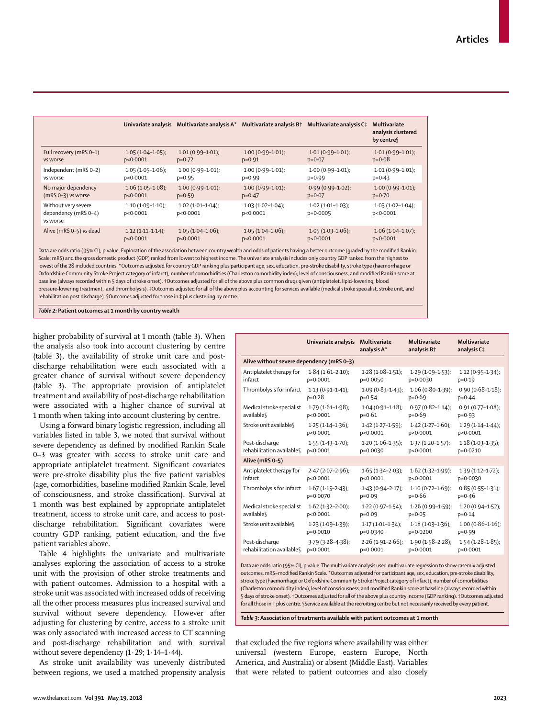|                                                         | Univariate analysis              | Multivariate analysis A*       | Multivariate analysis B†           | Multivariate analysis C‡         | <b>Multivariate</b><br>analysis clustered<br>by centres |
|---------------------------------------------------------|----------------------------------|--------------------------------|------------------------------------|----------------------------------|---------------------------------------------------------|
| Full recovery (mRS 0-1)                                 | $1.05(1.04-1.05)$ ;              | $1.01(0.99 - 1.01);$           | $1.00(0.99 - 1.01);$               | $1.01(0.99 - 1.01);$             | $1.01(0.99 - 1.01)$ ;                                   |
| vs worse                                                | p<0.0001                         | $p=0.72$                       | $p=0.91$                           | $p=0.07$                         | $p=0.08$                                                |
| Independent (mRS 0-2)                                   | $1.05(1.05-1.06)$ ;              | $1.00(0.99 - 1.01)$ ;          | $1.00(0.99 - 1.01);$               | $1.00(0.99 - 1.01);$             | $1.01(0.99 - 1.01);$                                    |
| vs worse                                                | p < 0.0001                       | p=0.95                         | $p=0.99$                           | $p=0.99$                         | $p=0.43$                                                |
| No major dependency                                     | $1.06(1.05-1.08);$               | $1.00(0.99 - 1.01);$           | $1.00(0.99 - 1.01)$ ;              | $0.99(0.99 - 1.02)$ ;            | $1.00(0.99 - 1.01);$                                    |
| $(mRS 0-3)$ vs worse                                    | p < 0.0001                       | $p=0.59$                       | $p=0.47$                           | $p=0.07$                         | $p=0.70$                                                |
| Without very severe<br>dependency (mRS 0-4)<br>vs worse | $1.10(1.09-1.10);$<br>p < 0.0001 | $1.02(1.01-1.04);$<br>p<0.0001 | $1.03(1.02 - 1.04);$<br>p < 0.0001 | $1.02(1.01-1.03);$<br>$p=0.0005$ | $1.03(1.02 - 1.04)$ ;<br>p<0.0001                       |
| Alive (mRS 0-5) vs dead                                 | $1.12(1.11-1.14)$ ;              | $1.05(1.04-1.06)$ ;            | $1.05(1.04-1.06)$ ;                | $1.05(1.03-1.06)$ ;              | $1.06(1.04-1.07)$ ;                                     |
|                                                         | p<0.0001                         | p<0.0001                       | p < 0.0001                         | p<0.0001                         | p<0.0001                                                |

Data are odds ratio (95% CI); p value. Exploration of the association between country wealth and odds of patients having a better outcome (graded by the modified Rankin Scale; mRS) and the gross domestic product (GDP) ranked from lowest to highest income. The univariate analysis includes only country GDP ranked from the highest to lowest of the 28 included countries. \*Outcomes adjusted for country GDP ranking plus participant age, sex, education, pre-stroke disability, stroke type (haemorrhage or Oxfordshire Community Stroke Project category of infarct), number of comorbidities (Charleston comorbidity index), level of consciousness, and modified Rankin score at baseline (always recorded within 5 days of stroke onset). †Outcomes adjusted for all of the above plus common drugs given (antiplatelet, lipid-lowering, blood pressure-lowering treatment, and thrombolysis). ‡Outcomes adjusted for all of the above plus accounting for services available (medical stroke specialist, stroke unit, and rehabilitation post discharge). §Outcomes adjusted for those in ‡ plus clustering by centre.

*Table 2:* **Patient outcomes at 1 month by country wealth**

higher probability of survival at 1 month (table 3). When the analysis also took into account clustering by centre (table 3), the availability of stroke unit care and postdischarge rehabilitation were each associated with a greater chance of survival without severe dependency (table 3). The appropriate provision of antiplatelet treatment and availability of post-discharge rehabilitation were associated with a higher chance of survival at 1 month when taking into account clustering by centre.

Using a forward binary logistic regression, including all variables listed in table 3, we noted that survival without severe dependency as defined by modified Rankin Scale 0–3 was greater with access to stroke unit care and appropriate antiplatelet treatment. Significant covariates were pre-stroke disability plus the five patient variables (age, comorbidities, baseline modified Rankin Scale, level of consciousness, and stroke classification). Survival at 1 month was best explained by appropriate antiplatelet treatment, access to stroke unit care, and access to postdischarge rehabilitation. Significant covariates were country GDP ranking, patient education, and the five patient variables above.

Table 4 highlights the univariate and multivariate analyses exploring the association of access to a stroke unit with the provision of other stroke treatments and with patient outcomes. Admission to a hospital with a stroke unit was associated with increased odds of receiving all the other process measures plus increased survival and survival without severe dependency. However after adjusting for clustering by centre, access to a stroke unit was only associated with increased access to CT scanning and post-discharge rehabilitation and with survival without severe dependency (1·29; 1·14–1·44).

As stroke unit availability was unevenly distributed between regions, we used a matched propensity analysis

|                                           | Univariate analysis  | <b>Multivariate</b><br>analysis A* | <b>Multivariate</b><br>analysis B <sup>+</sup> | Multivariate<br>analysis C‡ |  |  |
|-------------------------------------------|----------------------|------------------------------------|------------------------------------------------|-----------------------------|--|--|
| Alive without severe dependency (mRS 0-3) |                      |                                    |                                                |                             |  |  |
| Antiplatelet therapy for                  | $1.84(1.61-2.10);$   | $1.28(1.08-1.51);$                 | $1.29(1.09-1.53);$                             | $1.12(0.95-1.34);$          |  |  |
| infarct                                   | p<0.0001             | $p=0.0050$                         | p=0.0030                                       | $p=0.19$                    |  |  |
| Thrombolysis for infarct                  | $1.13(0.91 - 1.41);$ | $1.09(0.83 - 1.43);$               | $1.06(0.80-1.39);$                             | $0.90(0.68 - 1.18);$        |  |  |
|                                           | $p=0.28$             | $p = 0.54$                         | $p=0.69$                                       | $p = 0.44$                  |  |  |
| Medical stroke specialist                 | $1.79(1.61-1.98);$   | $1.04(0.91 - 1.18);$               | $0.97(0.82 - 1.14);$                           | $0.91(0.77 - 1.08);$        |  |  |
| availables                                | p<0.0001             | $p=0.61$                           | $p=0.69$                                       | $p=0.93$                    |  |  |
| Stroke unit available \                   | $1.25(1.14-1.36);$   | $1.42(1.27 - 1.59);$               | $1.42(1.27-1.60);$                             | $1.29(1.14-1.44);$          |  |  |
|                                           | p<0.0001             | p<0.0001                           | p<0.0001                                       | p<0.0001                    |  |  |
| Post-discharge                            | $1.55(1.43 - 1.70);$ | $1.20(1.06-1.35);$                 | $1.37(1.20-1.57);$                             | $1.18(1.03 - 1.35);$        |  |  |
| rehabilitation availables                 | p<0.0001             | $p=0.0030$                         | p<0.0001                                       | $p=0.0210$                  |  |  |
| Alive (mRS 0-5)                           |                      |                                    |                                                |                             |  |  |
| Antiplatelet therapy for                  | $2.47(2.07-2.96);$   | $1.65(1.34-2.03);$                 | $1.62(1.32 - 1.99);$                           | $1.39(1.12 - 1.72);$        |  |  |
| infarct                                   | p<0.0001             | p<0.0001                           | p<0.0001                                       | p=0.0030                    |  |  |
| Thrombolysis for infarct                  | $1.67(1.15-2.43);$   | $1.43(0.94 - 2.17);$               | $1.10(0.72 - 1.69)$ ;                          | $0.85(0.55 - 1.31);$        |  |  |
|                                           | p=0.0070             | $p=0.09$                           | $p=0.66$                                       | $p=0.46$                    |  |  |
| Medical stroke specialist                 | $1.62$ (1.32-2.00);  | $1.22(0.97-1.54);$                 | $1.26(0.99 - 1.59);$                           | $1.20(0.94 - 1.52);$        |  |  |
| available                                 | p<0.0001             | $p=0.09$                           | $p=0.05$                                       | $p = 0.14$                  |  |  |
| Stroke unit available \                   | $1.23(1.09-1.39);$   | $1.17(1.01-1.34);$                 | $1.18(1.03-1.36);$                             | $1.00(0.86 - 1.16)$ ;       |  |  |
|                                           | $p=0.0010$           | $p=0.0340$                         | $p=0.0200$                                     | $p=0.99$                    |  |  |
| Post-discharge                            | $3.79(3.28 - 4.38);$ | $2.26(1.91 - 2.66)$ ;              | $1.90(1.58-2.28);$                             | $1.54(1.28-1.85);$          |  |  |
| rehabilitation available \                | p<0.0001             | p<0.0001                           | p<0.0001                                       | p<0.0001                    |  |  |

Data are odds ratio (95% CI); p value. The multivariate analysis used multivariate regression to show casemix adjusted outcomes. mRS=modified Rankin Scale. \*Outcomes adjusted for participant age, sex, education, pre-stroke disability, stroke type (haemorrhage or Oxfordshire Community Stroke Project category of infarct), number of comorbidities (Charleston comorbidity index), level of consciousness, and modified Rankin score at baseline (always recorded within 5 days of stroke onset). †Outcomes adjusted for all of the above plus country income (GDP ranking). ‡Outcomes adjusted for all those in † plus centre. §Service available at the recruiting centre but not necessarily received by every patient.

*Table 3:* **Association of treatments available with patient outcomes at 1 month**

that excluded the five regions where availability was either universal (western Europe, eastern Europe, North America, and Australia) or absent (Middle East). Variables that were related to patient outcomes and also closely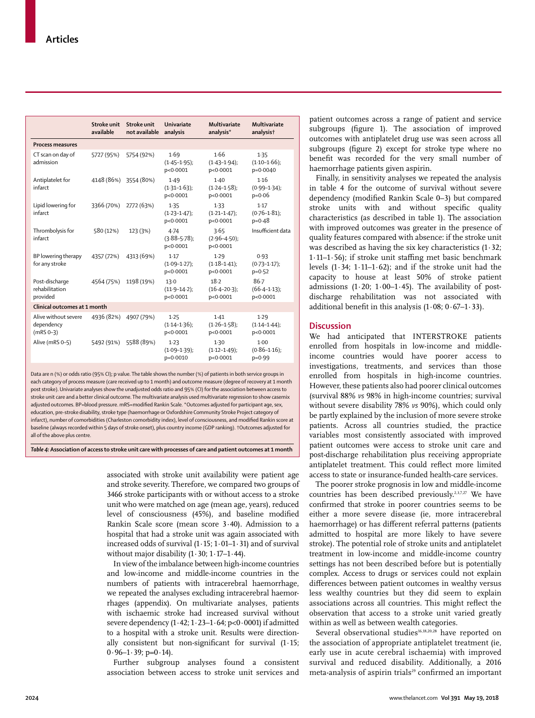|                                                   | Stroke unit<br>available | Stroke unit<br>not available | <b>Univariate</b><br>analysis           | <b>Multivariate</b><br>analysis*       | <b>Multivariate</b><br>analysist          |  |
|---------------------------------------------------|--------------------------|------------------------------|-----------------------------------------|----------------------------------------|-------------------------------------------|--|
| <b>Process measures</b>                           |                          |                              |                                         |                                        |                                           |  |
| CT scan on day of<br>admission                    | 5727 (95%)               | 5754 (92%)                   | 1.69<br>$(1.45 - 1.95)$ ;<br>p<0.0001   | 1.66<br>$(1.43 - 1.94);$<br>p<0.0001   | 1.35<br>$(1.10 - 1.66)$ ;<br>$p=0.0040$   |  |
| Antiplatelet for<br>infarct                       | 4148 (86%)               | 3554 (80%)                   | 1.49<br>$(1.31 - 1.63);$<br>p<0.0001    | $1-40$<br>$(1.24 - 1.58);$<br>p<0.0001 | 1.16<br>$(0.99 - 1.34);$<br>$p=0.06$      |  |
| Lipid lowering for<br>infarct                     | 3366 (70%)               | 2772 (63%)                   | 1.35<br>$(1.23 - 1.47)$ ;<br>p<0.0001   | 1.33<br>$(1.21 - 1.47)$ ;<br>p<0.0001  | 1.17<br>$(0.76 - 1.81)$ ;<br>$p=0.48$     |  |
| Thrombolysis for<br>infarct                       | 580 (12%)                | 123 (3%)                     | 4.74<br>$(3.88 - 5.78);$<br>p<0.0001    | 3.65<br>$(2.96 - 4.50);$<br>p<0.0001   | Insufficient data                         |  |
| BP lowering therapy<br>for any stroke             | 4357 (72%)               | 4313 (69%)                   | 1.17<br>$(1.09 - 1.27);$<br>p<0.0001    | 1.29<br>$(1.18 - 1.41);$<br>p<0.0001   | 0.93<br>$(0.73 - 1.17);$<br>$p = 0.52$    |  |
| Post-discharge<br>rehabilitation<br>provided      | 4564 (75%)               | 1198 (19%)                   | 13.0<br>$(11.9 - 14.2)$ ;<br>p<0.0001   | 18.2<br>$(16.4 - 20.3)$ ;<br>p<0.0001  | $86 - 7$<br>$(66.4 - 1.13)$ ;<br>p<0.0001 |  |
| Clinical outcomes at 1 month                      |                          |                              |                                         |                                        |                                           |  |
| Alive without severe<br>dependency<br>$(mRS 0-3)$ | 4936 (82%)               | 4907 (79%)                   | 1.25<br>$(1.14 - 1.36);$<br>p<0.0001    | 1.41<br>$(1.26 - 1.58);$<br>p<0.0001   | 1.29<br>$(1.14 - 1.44)$ ;<br>p<0.0001     |  |
| Alive (mRS 0-5)                                   | 5492 (91%)               | 5588 (89%)                   | 1.23<br>$(1.09 - 1.39)$ ;<br>$p=0.0010$ | 1.30<br>$(1.12 - 1.49)$ ;<br>p<0.0001  | $1-00$<br>$(0.86 - 1.16)$ ;<br>p=0.99     |  |

Data are n (%) or odds ratio (95% CI); p value. The table shows the number (%) of patients in both service groups in each category of process measure (care received up to 1 month) and outcome measure (degree of recovery at 1 month post stroke). Univariate analyses show the unadjusted odds ratio and 95% (CI) for the association between access to stroke unit care and a better clinical outcome. The multivariate analysis used multivariate regression to show casemix adjusted outcomes. BP=blood pressure. mRS=modified Rankin Scale. \*Outcomes adjusted for participant age, sex, education, pre-stroke disability, stroke type (haemorrhage or Oxfordshire Community Stroke Project category of infarct), number of comorbidities (Charleston comorbidity index), level of consciousness, and modified Rankin score at baseline (always recorded within 5 days of stroke onset), plus country income (GDP ranking). †Outcomes adjusted for all of the above plus centre.

*Table 4:* **Association of access to stroke unit care with processes of care and patient outcomes at 1 month**

associated with stroke unit availability were patient age and stroke severity. Therefore, we compared two groups of 3466 stroke participants with or without access to a stroke unit who were matched on age (mean age, years), reduced level of consciousness (45%), and baseline modified Rankin Scale score (mean score 3·40). Admission to a hospital that had a stroke unit was again associated with increased odds of survival (1·15; 1·01–1·31) and of survival without major disability  $(1.30; 1.17-1.44)$ .

In view of the imbalance between high-income countries and low-income and middle-income countries in the numbers of patients with intracerebral haemorrhage, we repeated the analyses excluding intracerebral haemorrhages (appendix). On multivariate analyses, patients with ischaemic stroke had increased survival without severe dependency (1·42; 1·23–1·64; p<0·0001) if admitted to a hospital with a stroke unit. Results were directionally consistent but non-significant for survival (1·15;  $0.96-1.39$ ; p= $0.14$ ).

Further subgroup analyses found a consistent association between access to stroke unit services and patient outcomes across a range of patient and service subgroups (figure 1). The association of improved outcomes with antiplatelet drug use was seen across all subgroups (figure 2) except for stroke type where no benefit was recorded for the very small number of haemorrhage patients given aspirin.

Finally, in sensitivity analyses we repeated the analysis in table 4 for the outcome of survival without severe dependency (modified Rankin Scale 0–3) but compared stroke units with and without specific quality characteristics (as described in table 1). The association with improved outcomes was greater in the presence of quality features compared with absence: if the stroke unit was described as having the six key characteristics (1·32; 1·11–1·56); if stroke unit staffing met basic benchmark levels  $(1.34; 1.11-1.62)$ ; and if the stroke unit had the capacity to house at least 50% of stroke patient admissions  $(1·20; 1·00–1·45)$ . The availability of postdischarge rehabilitation was not associated with additional benefit in this analysis  $(1.08; 0.67-1.33)$ .

# **Discussion**

We had anticipated that INTERSTROKE patients enrolled from hospitals in low-income and middleincome countries would have poorer access to investigations, treatments, and services than those enrolled from hospitals in high-income countries. However, these patients also had poorer clinical outcomes (survival 88% *vs* 98% in high-income countries; survival without severe disability 78% *vs* 90%), which could only be partly explained by the inclusion of more severe stroke patients. Across all countries studied, the practice variables most consistently associated with improved patient outcomes were access to stroke unit care and post-discharge rehabilitation plus receiving appropriate antiplatelet treatment. This could reflect more limited access to state or insurance-funded health-care services.

The poorer stroke prognosis in low and middle-income countries has been described previously.2,3,7,27 We have confirmed that stroke in poorer countries seems to be either a more severe disease (ie, more intracerebral haemorrhage) or has different referral patterns (patients admitted to hospital are more likely to have severe stroke). The potential role of stroke units and antiplatelet treatment in low-income and middle-income country settings has not been described before but is potentially complex. Access to drugs or services could not explain differences between patient outcomes in wealthy versus less wealthy countries but they did seem to explain associations across all countries. This might reflect the observation that access to a stroke unit varied greatly within as well as between wealth categories.

Several observational studies<sup>16,18,20,28</sup> have reported on the association of appropriate antiplatelet treatment (ie, early use in acute cerebral ischaemia) with improved survival and reduced disability. Additionally, a 2016 meta-analysis of aspirin trials<sup>29</sup> confirmed an important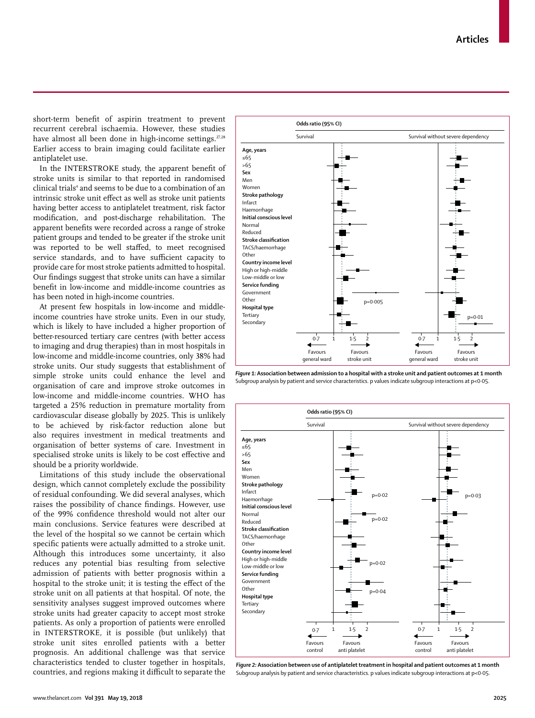**Age, years**  ≤65 >65 **Sex**  Men Women **Stroke pathology** Infarct **Haemorrhage Initial conscious level** Normal Reduced **Stroke classification**  TACS/haemorrhage Other **Country income level** High or high-middle Low-middle or low **Service funding**  Government Other **Hospital type** Tertiary **Secondary** Survival Survival without severe dependency  $1·5$  2 p=0·01 0.7 1 1.5 2 0.7 Favours general ward Favours stroke unit Favours general ward Favours stroke unit  $1.5$ p=0·005

**Odds ratio (95% CI)**

*Figure 1:* **Association between admission to a hospital with a stroke unit and patient outcomes at 1 month** Subgroup analysis by patient and service characteristics. p values indicate subgroup interactions at p<0·05.



*Figure 2:* **Association between use of antiplatelet treatment in hospital and patient outcomes at 1 month** Subgroup analysis by patient and service characteristics. p values indicate subgroup interactions at p<0·05.

short-term benefit of aspirin treatment to prevent recurrent cerebral ischaemia. However, these studies have almost all been done in high-income settings.<sup>27,28</sup> Earlier access to brain imaging could facilitate earlier antiplatelet use.

In the INTERSTROKE study, the apparent benefit of stroke units is similar to that reported in randomised clinical trials<sup>4</sup> and seems to be due to a combination of an intrinsic stroke unit effect as well as stroke unit patients having better access to antiplatelet treatment, risk factor modification, and post-discharge rehabilitation. The apparent benefits were recorded across a range of stroke patient groups and tended to be greater if the stroke unit was reported to be well staffed, to meet recognised service standards, and to have sufficient capacity to provide care for most stroke patients admitted to hospital. Our findings suggest that stroke units can have a similar benefit in low-income and middle-income countries as has been noted in high-income countries.

At present few hospitals in low-income and middleincome countries have stroke units. Even in our study, which is likely to have included a higher proportion of better-resourced tertiary care centres (with better access to imaging and drug therapies) than in most hospitals in low-income and middle-income countries, only 38% had stroke units. Our study suggests that establishment of simple stroke units could enhance the level and organisation of care and improve stroke outcomes in low-income and middle-income countries. WHO has targeted a 25% reduction in premature mortality from cardiovascular disease globally by 2025. This is unlikely to be achieved by risk-factor reduction alone but also requires investment in medical treatments and organisation of better systems of care. Investment in specialised stroke units is likely to be cost effective and should be a priority worldwide.

Limitations of this study include the observational design, which cannot completely exclude the possibility of residual confounding. We did several analyses, which raises the possibility of chance findings. However, use of the 99% confidence threshold would not alter our main conclusions. Service features were described at the level of the hospital so we cannot be certain which specific patients were actually admitted to a stroke unit. Although this introduces some uncertainty, it also reduces any potential bias resulting from selective admission of patients with better prognosis within a hospital to the stroke unit; it is testing the effect of the stroke unit on all patients at that hospital. Of note, the sensitivity analyses suggest improved outcomes where stroke units had greater capacity to accept most stroke patients. As only a proportion of patients were enrolled in INTERSTROKE, it is possible (but unlikely) that stroke unit sites enrolled patients with a better prognosis. An additional challenge was that service characteristics tended to cluster together in hospitals, countries, and regions making it difficult to separate the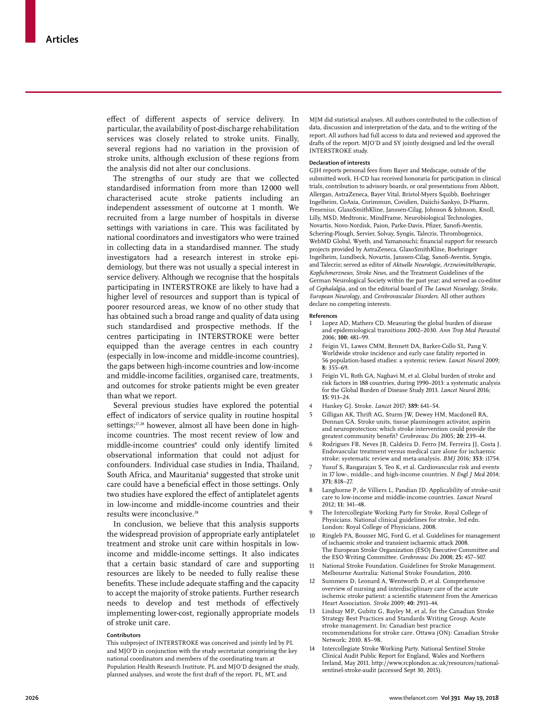effect of different aspects of service delivery. In particular, the availability of post-discharge rehabilitation services was closely related to stroke units. Finally, several regions had no variation in the provision of stroke units, although exclusion of these regions from the analysis did not alter our conclusions.

The strengths of our study are that we collected standardised information from more than 12000 well characterised acute stroke patients including an independent assessment of outcome at 1 month. We recruited from a large number of hospitals in diverse settings with variations in care. This was facilitated by national coordinators and investigators who were trained in collecting data in a standardised manner. The study investigators had a research interest in stroke epidemiology, but there was not usually a special interest in service delivery. Although we recognise that the hospitals participating in INTERSTROKE are likely to have had a higher level of resources and support than is typical of poorer resourced areas, we know of no other study that has obtained such a broad range and quality of data using such standardised and prospective methods. If the centres participating in INTERSTROKE were better equipped than the average centres in each country (especially in low-income and middle-income countries), the gaps between high-income countries and low-income and middle-income facilities, organised care, treatments, and outcomes for stroke patients might be even greater than what we report.

Several previous studies have explored the potential effect of indicators of service quality in routine hospital settings;<sup>27,28</sup> however, almost all have been done in highincome countries. The most recent review of low and middle-income countries<sup>8</sup> could only identify limited observational information that could not adjust for confounders. Individual case studies in India, Thailand, South Africa, and Mauritania<sup>8</sup> suggested that stroke unit care could have a beneficial effect in those settings. Only two studies have explored the effect of antiplatelet agents in low-income and middle-income countries and their results were inconclusive.<sup>28</sup>

In conclusion, we believe that this analysis supports the widespread provision of appropriate early antiplatelet treatment and stroke unit care within hospitals in lowincome and middle-income settings. It also indicates that a certain basic standard of care and supporting resources are likely to be needed to fully realise these benefits. These include adequate staffing and the capacity to accept the majority of stroke patients. Further research needs to develop and test methods of effectively implementing lower-cost, regionally appropriate models of stroke unit care.

#### **Contributors**

This subproject of INTERSTROKE was conceived and jointly led by PL and MJO'D in conjunction with the study secretariat comprising the key national coordinators and members of the coordinating team at Population Health Research Institute. PL and MJO'D designed the study, planned analyses, and wrote the first draft of the report. PL, MT, and

MJM did statistical analyses. All authors contributed to the collection of data, discussion and interpretation of the data, and to the writing of the report. All authors had full access to data and reviewed and approved the drafts of the report. MJO'D and SY jointly designed and led the overall INTERSTROKE study.

#### **Declaration of interests**

GJH reports personal fees from Bayer and Medscape, outside of the submitted work. H-CD has received honoraria for participation in clinical trials, contribution to advisory boards, or oral presentations from Abbott, Allergan, AstraZeneca, Bayer Vital, Bristol-Myers Squibb, Boehringer Ingelheim, CoAxia, Corimmun, Covidien, Daiichi-Sankyo, D-Pharm, Fresenius, GlaxoSmithKline, Janssen-Cilag, Johnson & Johnson, Knoll, Lilly, MSD, Medtronic, MindFrame, Neurobiological Technologies, Novartis, Novo-Nordisk, Paion, Parke-Davis, Pfizer, Sanofi-Aventis, Schering-Plough, Servier, Solvay, Syngis, Talecris, Thrombogenics, WebMD Global, Wyeth, and Yamanouchi; financial support for research projects provided by AstraZeneca, GlaxoSmithKline, Boehringer Ingelheim, Lundbeck, Novartis, Janssen-Cilag, Sanofi-Aventis, Syngis, and Talecris; served as editor of *Aktuelle Neurologie*, *Arzneimitteltherapie*, *Kopfschmerznews*, *Stroke News*, and the Treatment Guidelines of the German Neurological Society within the past year; and served as co-editor of *Cephalalgia*, and on the editorial board of *The Lancet Neurology*, *Stroke*, *European Neurology*, and *Cerebrovascular Disorders.* All other authors declare no competing interests.

#### **References**

- Lopez AD, Mathers CD. Measuring the global burden of disease and epidemiological transitions 2002–2030. *Ann Trop Med Parasitol*  2006; **100:** 481–99.
- 2 Feigin VL, Lawes CMM, Bennett DA, Barker-Collo SL, Pang V. Worldwide stroke incidence and early case fatality reported in 56 population-based studies: a systemic review. *Lancet Neurol* 2009; **8:** 355–69.
- Feigin VL, Roth GA, Naghavi M, et al. Global burden of stroke and risk factors in 188 countries, during 1990–2013: a systematic analysis for the Global Burden of Disease Study 2013. *Lancet Neurol* 2016; **15:** 913–24.
- 4 Hankey GJ. Stroke. *Lancet* 2017; **389:** 641–54.
- 5 Gilligan AK, Thrift AG, Sturm JW, Dewey HM, Macdonell RA, Donnan GA. Stroke units, tissue plasminogen activator, aspirin and neuroprotection: which stroke intervention could provide the greatest community benefit? *Cerebrovasc Dis* 2005; **20:** 239–44.
- 6 Rodrigues FB, Neves JB, Caldeira D, Ferro JM, Ferreira JJ, Costa J. Endovascular treatment versus medical care alone for ischaemic stroke: systematic review and meta-analysis. *BMJ* 2016; **353:** i1754.
- 7 Yusuf S, Rangarajan S, Teo K, et al. Cardiovascular risk and events in 17 low-, middle-, and high-income countries. *N Engl J Med* 2014; **371:** 818–27.
- Langhorne P, de Villiers L, Pandian JD. Applicability of stroke-unit care to low-income and middle-income countries. *Lancet Neurol* 2012; **11:** 341–48.
- 9 The Intercollegiate Working Party for Stroke, Royal College of Physicians. National clinical guidelines for stroke, 3rd edn. London: Royal College of Physicians, 2008.
- 10 Ringleb PA, Bousser MG, Ford G, et al. Guidelines for management of ischaemic stroke and transient ischaemic attack 2008. The European Stroke Organization (ESO) Executive Committee and the ESO Writing Committee. *Cerebrovasc Dis* 2008; **25:** 457–507.
- 11 National Stroke Foundation. Guidelines for Stroke Management. Melbourne Australia: National Stroke Foundation, 2010.
- 12 Summers D, Leonard A, Wentworth D, et al. Comprehensive overview of nursing and interdisciplinary care of the acute ischemic stroke patient: a scientific statement from the American Heart Association. *Stroke* 2009; **40:** 2911–44.
- 13 Lindsay MP, Gubitz G, Bayley M, et al, for the Canadian Stroke Strategy Best Practices and Standards Writing Group. Acute stroke management. In: Canadian best practice recommendations for stroke care. Ottawa (ON): Canadian Stroke Network; 2010. 85–98.
- Intercollegiate Stroke Working Party. National Sentinel Stroke Clinical Audit Public Report for England, Wales and Northern Ireland, May 2011. http://www.rcplondon.ac.uk/resources/nationalsentinel-stroke-audit (accessed Sept 30, 2015).